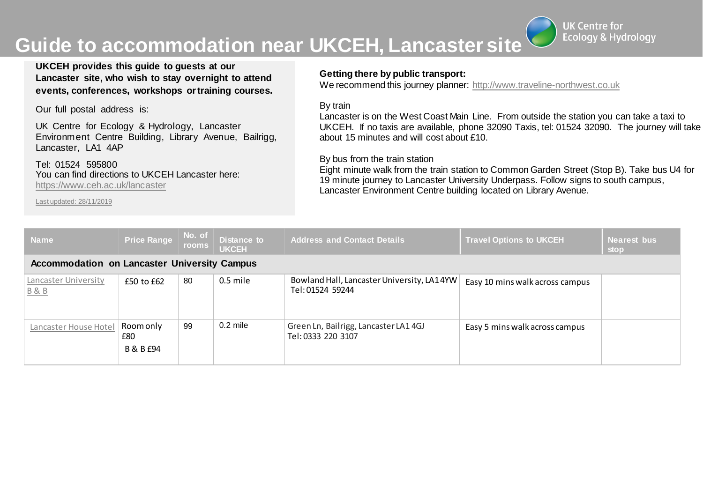# **Guide to accommodation near UKCEH, Lancaster site**



**UKCEH provides this guide to guests at our Lancaster site, who wish to stay overnight to attend events, conferences, workshops ortraining courses.**

Our full postal address is:

UK Centre for Ecology & Hydrology, Lancaster Environment Centre Building, Library Avenue, Bailrigg, Lancaster, LA1 4AP

Tel: 01524 595800 You can find directions to UKCEH Lancaster here: <https://www.ceh.ac.uk/lancaster>

Last updated: 28/11/2019

### **Getting there by public transport:**

We recommend this journey planner: http://www.traveline-northwest.co.uk

#### By train

Lancaster is on the West Coast Main Line. From outside the station you can take a taxi to UKCEH. If no taxis are available, phone 32090 Taxis, tel: 01524 32090. The journey will take about 15 minutes and will cost about £10.

#### By bus from the train station

Eight minute walk from the train station to Common Garden Street (Stop B). Take bus U4 for 19 minute journey to Lancaster University Underpass. Follow signs to south campus, Lancaster Environment Centre building located on Library Avenue.

| <b>Name</b>                                         | <b>Price Range</b>            | No. of<br>rooms | <b>Distance to</b><br><b>UKCEH</b> | <b>Address and Contact Details</b>                             | <b>Travel Options to UKCEH</b>  | <b>Nearest bus</b><br>stop |  |  |
|-----------------------------------------------------|-------------------------------|-----------------|------------------------------------|----------------------------------------------------------------|---------------------------------|----------------------------|--|--|
| <b>Accommodation on Lancaster University Campus</b> |                               |                 |                                    |                                                                |                                 |                            |  |  |
| Lancaster University<br><b>B&amp;B</b>              | $£50$ to $£62$                | 80              | $0.5$ mile                         | Bowland Hall, Lancaster University, LA14YW<br>Tel: 01524 59244 | Easy 10 mins walk across campus |                            |  |  |
| Lancaster House Hotel                               | Room only<br>£80<br>B & B £94 | 99              | $0.2$ mile                         | Green Ln, Bailrigg, Lancaster LA14GJ<br>Tel: 0333 220 3107     | Easy 5 mins walk across campus  |                            |  |  |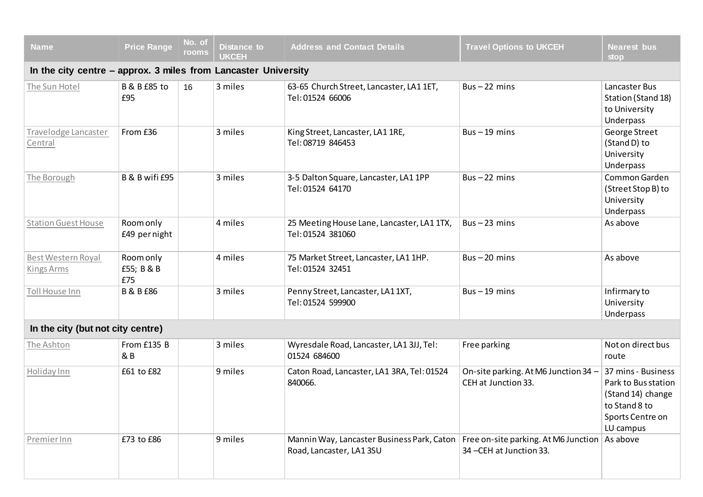| <b>Name</b>                                                    | <b>Price Range</b>             | No. of<br>rooms | <b>Distance to</b><br><b>UKCEH</b> | <b>Address and Contact Details</b>                                    | <b>Travel Options to UKCEH</b>                                   | <b>Nearest bus</b><br><b>stop</b>                                                                                |  |  |
|----------------------------------------------------------------|--------------------------------|-----------------|------------------------------------|-----------------------------------------------------------------------|------------------------------------------------------------------|------------------------------------------------------------------------------------------------------------------|--|--|
| In the city centre - approx. 3 miles from Lancaster University |                                |                 |                                    |                                                                       |                                                                  |                                                                                                                  |  |  |
| The Sun Hotel                                                  | <b>B &amp; B £85 to</b><br>£95 | 16              | 3 miles                            | 63-65 Church Street, Lancaster, LA1 1ET,<br>Tel: 01524 66006          | $Bus - 22 mins$                                                  | Lancaster Bus<br>Station (Stand 18)<br>to University<br>Underpass                                                |  |  |
| Travelodge Lancaster<br>Central                                | From £36                       |                 | 3 miles                            | King Street, Lancaster, LA1 1RE,<br>Tel: 08719 846453                 | $Bus - 19$ mins                                                  | George Street<br>(Stand D) to<br>University<br>Underpass                                                         |  |  |
| The Borough                                                    | B & B wifi £95                 |                 | 3 miles                            | 3-5 Dalton Square, Lancaster, LA1 1PP<br>Tel: 01524 64170             | $Bus - 22 mins$                                                  | Common Garden<br>(Street Stop B) to<br>University<br>Underpass                                                   |  |  |
| <b>Station Guest House</b>                                     | Room only<br>£49 pernight      |                 | 4 miles                            | 25 Meeting House Lane, Lancaster, LA1 1TX,<br>Tel: 01524 381060       | $Bus - 23 mins$                                                  | As above                                                                                                         |  |  |
| Best Western Royal<br><b>Kings Arms</b>                        | Room only<br>£55; B & B<br>£75 |                 | 4 miles                            | 75 Market Street, Lancaster, LA1 1HP.<br>Tel: 01524 32451             | $Bus - 20 mins$                                                  | As above                                                                                                         |  |  |
| Toll House Inn                                                 | <b>B &amp; B £86</b>           |                 | 3 miles                            | Penny Street, Lancaster, LA11XT,<br>Tel: 01524 599900                 | $Bus - 19 mins$                                                  | Infirmary to<br>University<br>Underpass                                                                          |  |  |
| In the city (but not city centre)                              |                                |                 |                                    |                                                                       |                                                                  |                                                                                                                  |  |  |
| The Ashton                                                     | From £135 B<br>& B             |                 | 3 miles                            | Wyresdale Road, Lancaster, LA1 3JJ, Tel:<br>01524 684600              | Free parking                                                     | Not on direct bus<br>route                                                                                       |  |  |
| Holiday Inn                                                    | £61 to £82                     |                 | 9 miles                            | Caton Road, Lancaster, LA1 3RA, Tel: 01524<br>840066.                 | On-site parking. At M6 Junction 34 -<br>CEH at Junction 33.      | 37 mins - Business<br>Park to Bus station<br>(Stand 14) change<br>to Stand 8 to<br>Sports Centre on<br>LU campus |  |  |
| PremierInn                                                     | £73 to £86                     |                 | 9 miles                            | Mannin Way, Lancaster Business Park, Caton<br>Road, Lancaster, LA13SU | Free on-site parking. At M6 Junction<br>34 - CEH at Junction 33. | As above                                                                                                         |  |  |